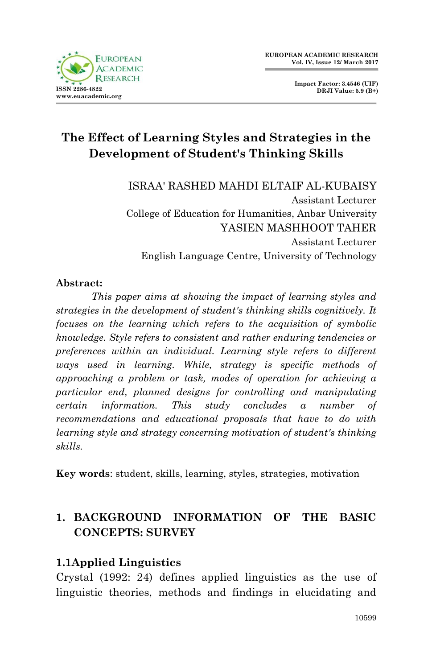

**Impact Factor: 3.4546 (UIF) DRJI Value: 5.9 (B+)**

# **The Effect of Learning Styles and Strategies in the Development of Student's Thinking Skills**

ISRAA' RASHED MAHDI ELTAIF AL-KUBAISY Assistant Lecturer College of Education for Humanities, Anbar University YASIEN MASHHOOT TAHER Assistant Lecturer English Language Centre, University of Technology

#### **Abstract:**

*This paper aims at showing the impact of learning styles and strategies in the development of student's thinking skills cognitively. It focuses on the learning which refers to the acquisition of symbolic knowledge. Style refers to consistent and rather enduring tendencies or preferences within an individual. Learning style refers to different ways used in learning. While, strategy is specific methods of approaching a problem or task, modes of operation for achieving a particular end, planned designs for controlling and manipulating certain information. This study concludes a number of recommendations and educational proposals that have to do with learning style and strategy concerning motivation of student's thinking skills.*

**Key words**: student, skills, learning, styles, strategies, motivation

## **1. BACKGROUND INFORMATION OF THE BASIC CONCEPTS: SURVEY**

#### **1.1Applied Linguistics**

Crystal (1992: 24) defines applied linguistics as the use of linguistic theories, methods and findings in elucidating and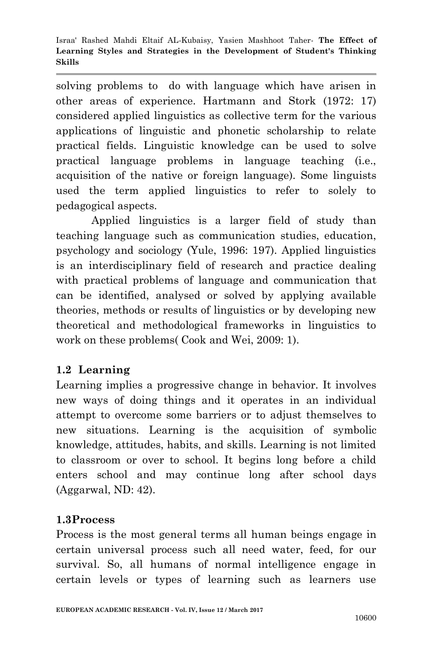solving problems to do with language which have arisen in other areas of experience. Hartmann and Stork (1972: 17) considered applied linguistics as collective term for the various applications of linguistic and phonetic scholarship to relate practical fields. Linguistic knowledge can be used to solve practical language problems in language teaching (i.e., acquisition of the native or foreign language). Some linguists used the term applied linguistics to refer to solely to pedagogical aspects.

 Applied linguistics is a larger field of study than teaching language such as communication studies, education, psychology and sociology (Yule, 1996: 197). Applied linguistics is an interdisciplinary field of research and practice dealing with practical problems of language and communication that can be identified, analysed or solved by applying available theories, methods or results of linguistics or by developing new theoretical and methodological frameworks in linguistics to work on these problems( Cook and Wei, 2009: 1).

## **1.2 Learning**

Learning implies a progressive change in behavior. It involves new ways of doing things and it operates in an individual attempt to overcome some barriers or to adjust themselves to new situations. Learning is the acquisition of symbolic knowledge, attitudes, habits, and skills. Learning is not limited to classroom or over to school. It begins long before a child enters school and may continue long after school days (Aggarwal, ND: 42).

#### **1.3Process**

Process is the most general terms all human beings engage in certain universal process such all need water, feed, for our survival. So, all humans of normal intelligence engage in certain levels or types of learning such as learners use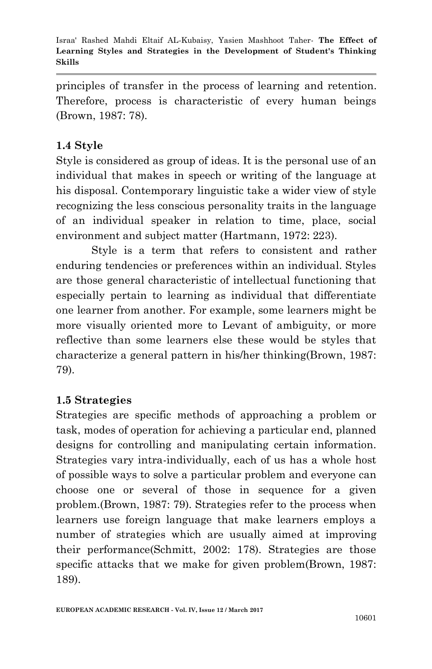principles of transfer in the process of learning and retention. Therefore, process is characteristic of every human beings (Brown, 1987: 78).

### **1.4 Style**

Style is considered as group of ideas. It is the personal use of an individual that makes in speech or writing of the language at his disposal. Contemporary linguistic take a wider view of style recognizing the less conscious personality traits in the language of an individual speaker in relation to time, place, social environment and subject matter (Hartmann, 1972: 223).

 Style is a term that refers to consistent and rather enduring tendencies or preferences within an individual. Styles are those general characteristic of intellectual functioning that especially pertain to learning as individual that differentiate one learner from another. For example, some learners might be more visually oriented more to Levant of ambiguity, or more reflective than some learners else these would be styles that characterize a general pattern in his/her thinking(Brown, 1987: 79).

#### **1.5 Strategies**

Strategies are specific methods of approaching a problem or task, modes of operation for achieving a particular end, planned designs for controlling and manipulating certain information. Strategies vary intra-individually, each of us has a whole host of possible ways to solve a particular problem and everyone can choose one or several of those in sequence for a given problem.(Brown, 1987: 79). Strategies refer to the process when learners use foreign language that make learners employs a number of strategies which are usually aimed at improving their performance(Schmitt, 2002: 178). Strategies are those specific attacks that we make for given problem(Brown, 1987: 189).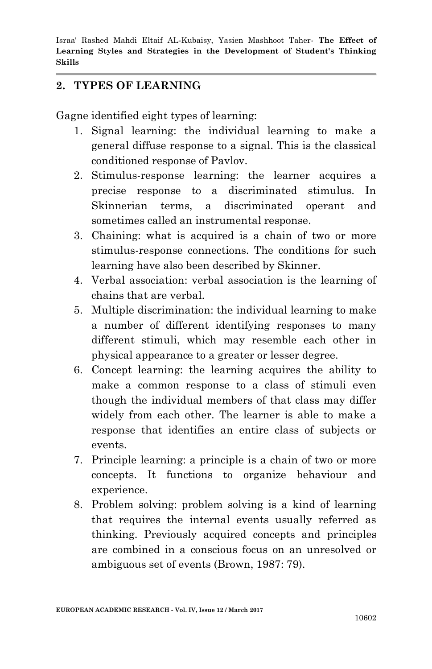#### **2. TYPES OF LEARNING**

Gagne identified eight types of learning:

- 1. Signal learning: the individual learning to make a general diffuse response to a signal. This is the classical conditioned response of Pavlov.
- 2. Stimulus-response learning: the learner acquires a precise response to a discriminated stimulus. In Skinnerian terms, a discriminated operant and sometimes called an instrumental response.
- 3. Chaining: what is acquired is a chain of two or more stimulus-response connections. The conditions for such learning have also been described by Skinner.
- 4. Verbal association: verbal association is the learning of chains that are verbal.
- 5. Multiple discrimination: the individual learning to make a number of different identifying responses to many different stimuli, which may resemble each other in physical appearance to a greater or lesser degree.
- 6. Concept learning: the learning acquires the ability to make a common response to a class of stimuli even though the individual members of that class may differ widely from each other. The learner is able to make a response that identifies an entire class of subjects or events.
- 7. Principle learning: a principle is a chain of two or more concepts. It functions to organize behaviour and experience.
- 8. Problem solving: problem solving is a kind of learning that requires the internal events usually referred as thinking. Previously acquired concepts and principles are combined in a conscious focus on an unresolved or ambiguous set of events (Brown, 1987: 79).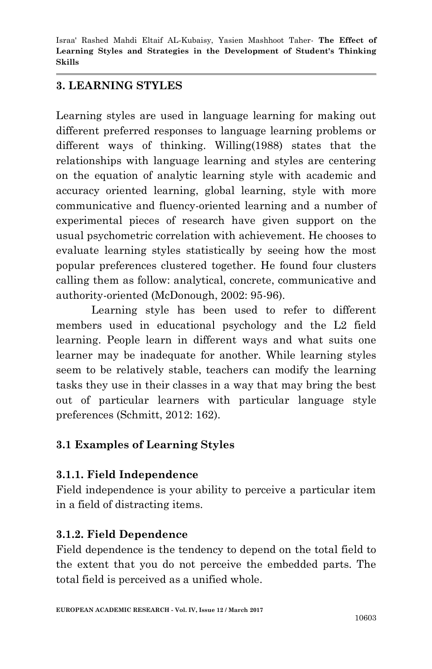### **3. LEARNING STYLES**

Learning styles are used in language learning for making out different preferred responses to language learning problems or different ways of thinking. Willing(1988) states that the relationships with language learning and styles are centering on the equation of analytic learning style with academic and accuracy oriented learning, global learning, style with more communicative and fluency-oriented learning and a number of experimental pieces of research have given support on the usual psychometric correlation with achievement. He chooses to evaluate learning styles statistically by seeing how the most popular preferences clustered together. He found four clusters calling them as follow: analytical, concrete, communicative and authority-oriented (McDonough, 2002: 95-96).

 Learning style has been used to refer to different members used in educational psychology and the L2 field learning. People learn in different ways and what suits one learner may be inadequate for another. While learning styles seem to be relatively stable, teachers can modify the learning tasks they use in their classes in a way that may bring the best out of particular learners with particular language style preferences (Schmitt, 2012: 162).

## **3.1 Examples of Learning Styles**

## **3.1.1. Field Independence**

Field independence is your ability to perceive a particular item in a field of distracting items.

## **3.1.2. Field Dependence**

Field dependence is the tendency to depend on the total field to the extent that you do not perceive the embedded parts. The total field is perceived as a unified whole.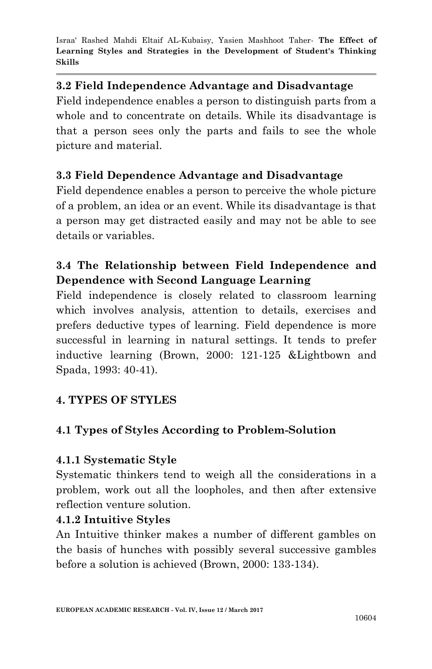### **3.2 Field Independence Advantage and Disadvantage**

Field independence enables a person to distinguish parts from a whole and to concentrate on details. While its disadvantage is that a person sees only the parts and fails to see the whole picture and material.

## **3.3 Field Dependence Advantage and Disadvantage**

Field dependence enables a person to perceive the whole picture of a problem, an idea or an event. While its disadvantage is that a person may get distracted easily and may not be able to see details or variables.

## **3.4 The Relationship between Field Independence and Dependence with Second Language Learning**

Field independence is closely related to classroom learning which involves analysis, attention to details, exercises and prefers deductive types of learning. Field dependence is more successful in learning in natural settings. It tends to prefer inductive learning (Brown, 2000: 121-125 &Lightbown and Spada, 1993: 40-41).

## **4. TYPES OF STYLES**

## **4.1 Types of Styles According to Problem-Solution**

#### **4.1.1 Systematic Style**

Systematic thinkers tend to weigh all the considerations in a problem, work out all the loopholes, and then after extensive reflection venture solution.

## **4.1.2 Intuitive Styles**

An Intuitive thinker makes a number of different gambles on the basis of hunches with possibly several successive gambles before a solution is achieved (Brown, 2000: 133-134).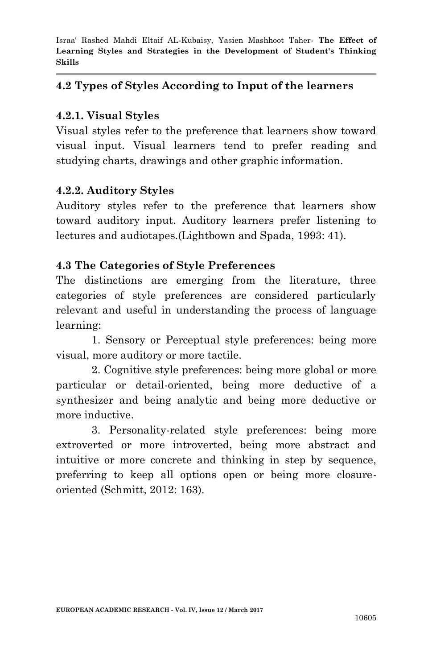#### **4.2 Types of Styles According to Input of the learners**

#### **4.2.1. Visual Styles**

Visual styles refer to the preference that learners show toward visual input. Visual learners tend to prefer reading and studying charts, drawings and other graphic information.

#### **4.2.2. Auditory Styles**

Auditory styles refer to the preference that learners show toward auditory input. Auditory learners prefer listening to lectures and audiotapes.(Lightbown and Spada, 1993: 41).

### **4.3 The Categories of Style Preferences**

The distinctions are emerging from the literature, three categories of style preferences are considered particularly relevant and useful in understanding the process of language learning:

1. Sensory or Perceptual style preferences: being more visual, more auditory or more tactile.

2. Cognitive style preferences: being more global or more particular or detail-oriented, being more deductive of a synthesizer and being analytic and being more deductive or more inductive.

3. Personality-related style preferences: being more extroverted or more introverted, being more abstract and intuitive or more concrete and thinking in step by sequence, preferring to keep all options open or being more closureoriented (Schmitt, 2012: 163).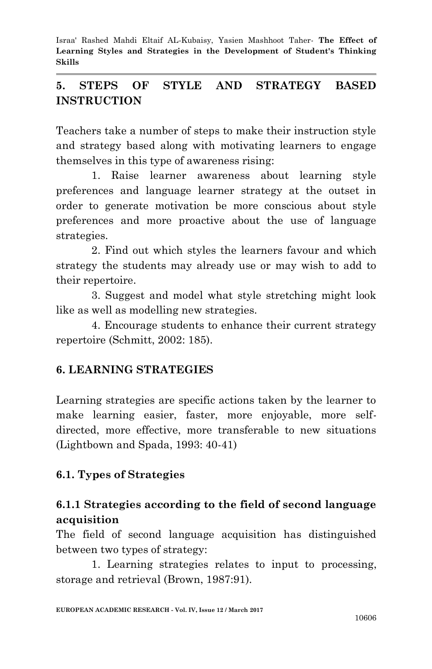## **5. STEPS OF STYLE AND STRATEGY BASED INSTRUCTION**

Teachers take a number of steps to make their instruction style and strategy based along with motivating learners to engage themselves in this type of awareness rising:

1. Raise learner awareness about learning style preferences and language learner strategy at the outset in order to generate motivation be more conscious about style preferences and more proactive about the use of language strategies.

2. Find out which styles the learners favour and which strategy the students may already use or may wish to add to their repertoire.

3. Suggest and model what style stretching might look like as well as modelling new strategies.

4. Encourage students to enhance their current strategy repertoire (Schmitt, 2002: 185).

## **6. LEARNING STRATEGIES**

Learning strategies are specific actions taken by the learner to make learning easier, faster, more enjoyable, more selfdirected, more effective, more transferable to new situations (Lightbown and Spada, 1993: 40-41)

## **6.1. Types of Strategies**

## **6.1.1 Strategies according to the field of second language acquisition**

The field of second language acquisition has distinguished between two types of strategy:

1. Learning strategies relates to input to processing, storage and retrieval (Brown, 1987:91).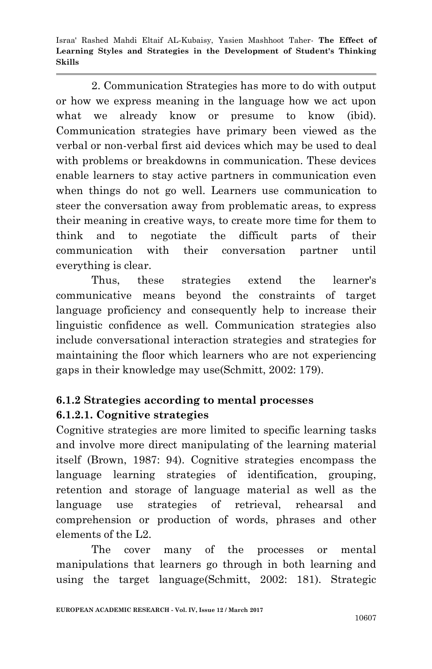2. Communication Strategies has more to do with output or how we express meaning in the language how we act upon what we already know or presume to know (ibid). Communication strategies have primary been viewed as the verbal or non-verbal first aid devices which may be used to deal with problems or breakdowns in communication. These devices enable learners to stay active partners in communication even when things do not go well. Learners use communication to steer the conversation away from problematic areas, to express their meaning in creative ways, to create more time for them to think and to negotiate the difficult parts of their communication with their conversation partner until everything is clear.

 Thus, these strategies extend the learner's communicative means beyond the constraints of target language proficiency and consequently help to increase their linguistic confidence as well. Communication strategies also include conversational interaction strategies and strategies for maintaining the floor which learners who are not experiencing gaps in their knowledge may use(Schmitt, 2002: 179).

## **6.1.2 Strategies according to mental processes 6.1.2.1. Cognitive strategies**

Cognitive strategies are more limited to specific learning tasks and involve more direct manipulating of the learning material itself (Brown, 1987: 94). Cognitive strategies encompass the language learning strategies of identification, grouping, retention and storage of language material as well as the language use strategies of retrieval, rehearsal and comprehension or production of words, phrases and other elements of the L2.

 The cover many of the processes or mental manipulations that learners go through in both learning and using the target language(Schmitt, 2002: 181). Strategic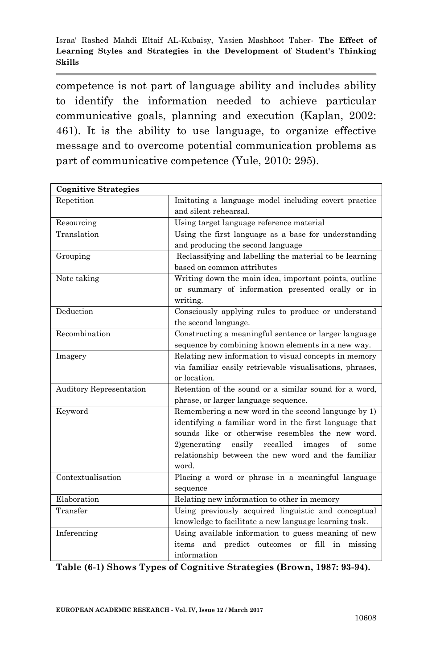competence is not part of language ability and includes ability to identify the information needed to achieve particular communicative goals, planning and execution (Kaplan, 2002: 461). It is the ability to use language, to organize effective message and to overcome potential communication problems as part of communicative competence (Yule, 2010: 295).

| <b>Cognitive Strategies</b>    |                                                                                                                                                                                                                                                                                                |
|--------------------------------|------------------------------------------------------------------------------------------------------------------------------------------------------------------------------------------------------------------------------------------------------------------------------------------------|
| Repetition                     | Imitating a language model including covert practice<br>and silent rehearsal.                                                                                                                                                                                                                  |
| Resourcing                     | Using target language reference material                                                                                                                                                                                                                                                       |
| Translation                    | Using the first language as a base for understanding<br>and producing the second language                                                                                                                                                                                                      |
| Grouping                       | Reclassifying and labelling the material to be learning<br>based on common attributes                                                                                                                                                                                                          |
| Note taking                    | Writing down the main idea, important points, outline<br>or summary of information presented orally or in<br>writing.                                                                                                                                                                          |
| Deduction                      | Consciously applying rules to produce or understand<br>the second language.                                                                                                                                                                                                                    |
| Recombination                  | Constructing a meaningful sentence or larger language<br>sequence by combining known elements in a new way.                                                                                                                                                                                    |
| Imagery                        | Relating new information to visual concepts in memory<br>via familiar easily retrievable visualisations, phrases,<br>or location.                                                                                                                                                              |
| <b>Auditory Representation</b> | Retention of the sound or a similar sound for a word,<br>phrase, or larger language sequence.                                                                                                                                                                                                  |
| Keyword                        | Remembering a new word in the second language by 1)<br>identifying a familiar word in the first language that<br>sounds like or otherwise resembles the new word.<br>recalled images<br>easily<br>of<br>$2)$ generating<br>some<br>relationship between the new word and the familiar<br>word. |
| Contextualisation              | Placing a word or phrase in a meaningful language<br>sequence                                                                                                                                                                                                                                  |
| Elaboration                    | Relating new information to other in memory                                                                                                                                                                                                                                                    |
| Transfer                       | Using previously acquired linguistic and conceptual<br>knowledge to facilitate a new language learning task.                                                                                                                                                                                   |
| Inferencing                    | Using available information to guess meaning of new<br>items and predict outcomes<br>fill in missing<br>or<br>information                                                                                                                                                                      |

**Table (6-1) Shows Types of Cognitive Strategies (Brown, 1987: 93-94).**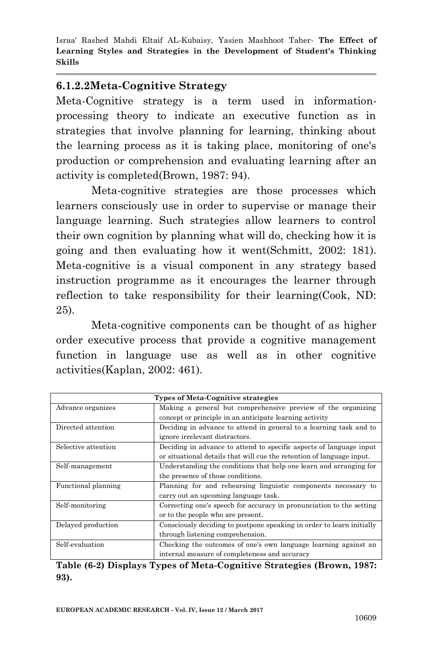#### **6.1.2.2Meta-Cognitive Strategy**

Meta-Cognitive strategy is a term used in informationprocessing theory to indicate an executive function as in strategies that involve planning for learning, thinking about the learning process as it is taking place, monitoring of one's production or comprehension and evaluating learning after an activity is completed(Brown, 1987: 94).

 Meta-cognitive strategies are those processes which learners consciously use in order to supervise or manage their language learning. Such strategies allow learners to control their own cognition by planning what will do, checking how it is going and then evaluating how it went(Schmitt, 2002: 181). Meta-cognitive is a visual component in any strategy based instruction programme as it encourages the learner through reflection to take responsibility for their learning(Cook, ND: 25).

 Meta-cognitive components can be thought of as higher order executive process that provide a cognitive management function in language use as well as in other cognitive activities(Kaplan, 2002: 461).

| <b>Types of Meta-Cognitive strategies</b> |                                                                       |
|-------------------------------------------|-----------------------------------------------------------------------|
| Advance organizes                         | Making a general but comprehensive preview of the organizing          |
|                                           | concept or principle in an anticipate learning activity               |
| Directed attention                        | Deciding in advance to attend in general to a learning task and to    |
|                                           | ignore irrelevant distractors.                                        |
| Selective attention                       | Deciding in advance to attend to specific aspects of language input   |
|                                           | or situational details that will cue the retention of language input. |
| Self-management                           | Understanding the conditions that help one learn and arranging for    |
|                                           | the presence of those conditions.                                     |
| Functional planning                       | Planning for and rehearsing linguistic components necessary to        |
|                                           | carry out an upcoming language task.                                  |
| Self-monitoring                           | Correcting one's speech for accuracy in pronunciation to the setting  |
|                                           | or to the people who are present.                                     |
| Delayed production                        | Consciously deciding to postpone speaking in order to learn initially |
|                                           | through listening comprehension.                                      |
| Self-evaluation                           | Checking the outcomes of one's own language learning against an       |
|                                           | internal measure of completeness and accuracy                         |

**Table (6-2) Displays Types of Meta-Cognitive Strategies (Brown, 1987: 93).**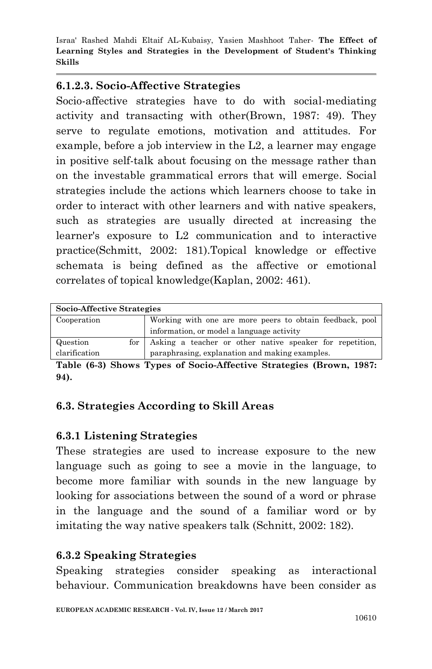#### **6.1.2.3. Socio-Affective Strategies**

Socio-affective strategies have to do with social-mediating activity and transacting with other(Brown, 1987: 49). They serve to regulate emotions, motivation and attitudes. For example, before a job interview in the L2, a learner may engage in positive self-talk about focusing on the message rather than on the investable grammatical errors that will emerge. Social strategies include the actions which learners choose to take in order to interact with other learners and with native speakers, such as strategies are usually directed at increasing the learner's exposure to L2 communication and to interactive practice(Schmitt, 2002: 181).Topical knowledge or effective schemata is being defined as the affective or emotional correlates of topical knowledge(Kaplan, 2002: 461).

| Socio-Affective Strategies |                                                              |
|----------------------------|--------------------------------------------------------------|
| Cooperation                | Working with one are more peers to obtain feedback, pool     |
|                            | information, or model a language activity                    |
| Question                   | for Asking a teacher or other native speaker for repetition, |
| clarification              | paraphrasing, explanation and making examples.               |

**Table (6-3) Shows Types of Socio-Affective Strategies (Brown, 1987: 94).**

## **6.3. Strategies According to Skill Areas**

## **6.3.1 Listening Strategies**

These strategies are used to increase exposure to the new language such as going to see a movie in the language, to become more familiar with sounds in the new language by looking for associations between the sound of a word or phrase in the language and the sound of a familiar word or by imitating the way native speakers talk (Schnitt, 2002: 182).

## **6.3.2 Speaking Strategies**

Speaking strategies consider speaking as interactional behaviour. Communication breakdowns have been consider as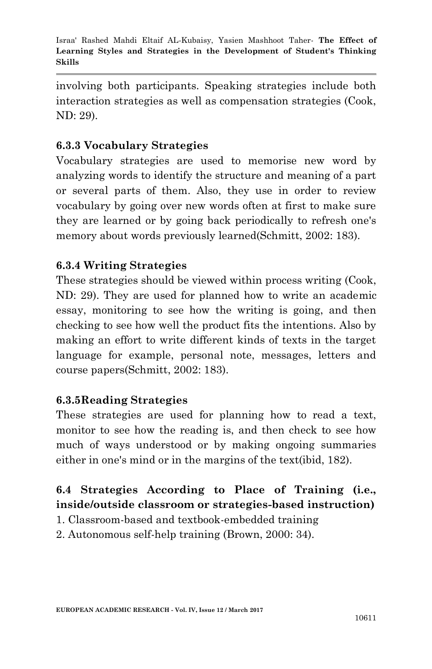involving both participants. Speaking strategies include both interaction strategies as well as compensation strategies (Cook, ND: 29).

### **6.3.3 Vocabulary Strategies**

Vocabulary strategies are used to memorise new word by analyzing words to identify the structure and meaning of a part or several parts of them. Also, they use in order to review vocabulary by going over new words often at first to make sure they are learned or by going back periodically to refresh one's memory about words previously learned(Schmitt, 2002: 183).

#### **6.3.4 Writing Strategies**

These strategies should be viewed within process writing (Cook, ND: 29). They are used for planned how to write an academic essay, monitoring to see how the writing is going, and then checking to see how well the product fits the intentions. Also by making an effort to write different kinds of texts in the target language for example, personal note, messages, letters and course papers(Schmitt, 2002: 183).

#### **6.3.5Reading Strategies**

These strategies are used for planning how to read a text, monitor to see how the reading is, and then check to see how much of ways understood or by making ongoing summaries either in one's mind or in the margins of the text(ibid, 182).

## **6.4 Strategies According to Place of Training (i.e., inside/outside classroom or strategies-based instruction)**

- 1. Classroom-based and textbook-embedded training
- 2. Autonomous self-help training (Brown, 2000: 34).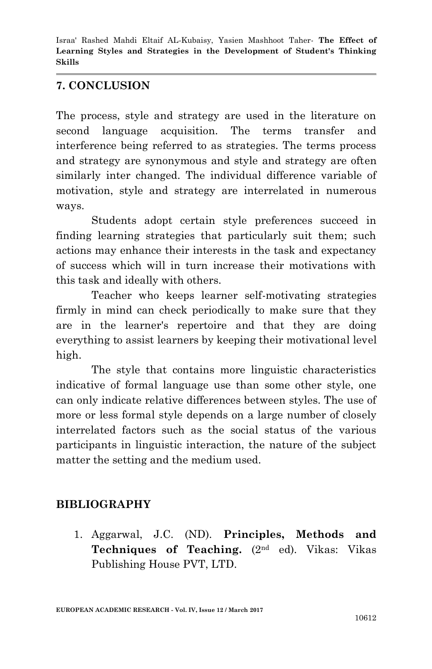### **7. CONCLUSION**

The process, style and strategy are used in the literature on second language acquisition. The terms transfer and interference being referred to as strategies. The terms process and strategy are synonymous and style and strategy are often similarly inter changed. The individual difference variable of motivation, style and strategy are interrelated in numerous ways.

 Students adopt certain style preferences succeed in finding learning strategies that particularly suit them; such actions may enhance their interests in the task and expectancy of success which will in turn increase their motivations with this task and ideally with others.

 Teacher who keeps learner self-motivating strategies firmly in mind can check periodically to make sure that they are in the learner's repertoire and that they are doing everything to assist learners by keeping their motivational level high.

 The style that contains more linguistic characteristics indicative of formal language use than some other style, one can only indicate relative differences between styles. The use of more or less formal style depends on a large number of closely interrelated factors such as the social status of the various participants in linguistic interaction, the nature of the subject matter the setting and the medium used.

## **BIBLIOGRAPHY**

1. Aggarwal, J.C. (ND). **Principles, Methods and Techniques of Teaching.** (2nd ed). Vikas: Vikas Publishing House PVT, LTD.